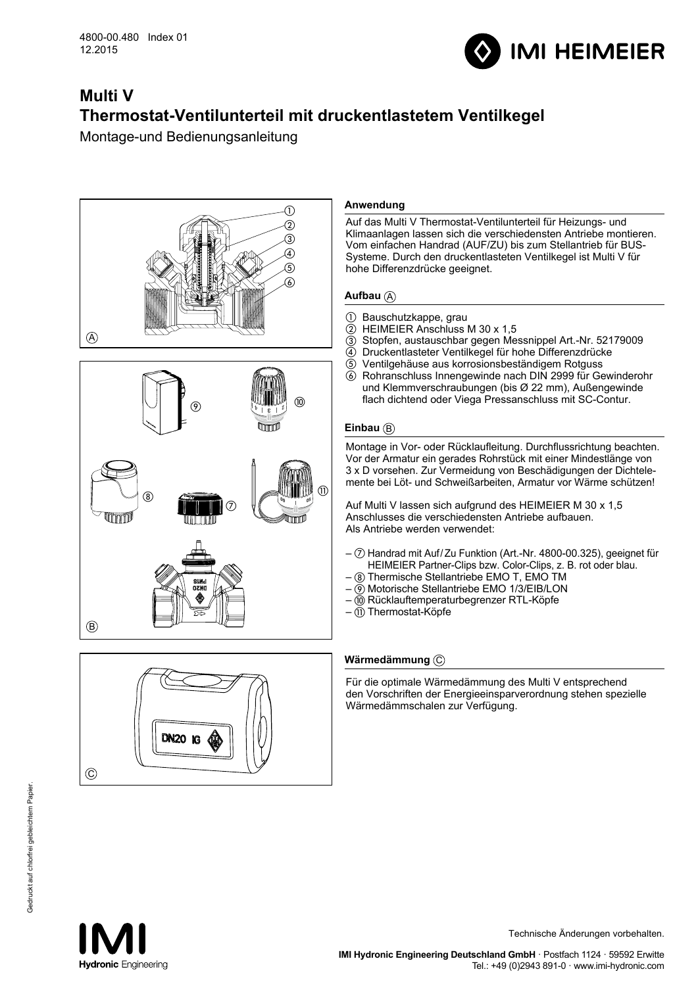

# **Multi V Thermostat-Ventilunterteil mit druckentlastetem Ventilkegel**

Montage-und Bedienungsanleitung





# **Anwendung**

Auf das Multi V Thermostat-Ventilunterteil für Heizungs- und Klimaanlagen lassen sich die verschiedensten Antriebe montieren. Vom einfachen Handrad (AUF/ZU) bis zum Stellantrieb für BUS-Systeme. Durch den druckentlasteten Ventilkegel ist Multi V für hohe Differenzdrücke geeignet.

# **Aufbau**  $\mathbf{A}$

- 1 Bauschutzkappe, grau<br>2 HEIMEIER Anschluss
- b HEIMEIER Anschluss M 30 x 1,5
- c Stopfen, austauschbar gegen Messnippel Art.-Nr. 52179009
- d Druckentlasteter Ventilkegel für hohe Differenzdrücke
- e Ventilgehäuse aus korrosionsbeständigem Rotguss
- f Rohranschluss Innengewinde nach DIN 2999 für Gewinderohr und Klemmverschraubungen (bis Ø 22 mm), Außengewinde flach dichtend oder Viega Pressanschluss mit SC-Contur.

# **Einbau** (B)

Montage in Vor- oder Rücklaufleitung. Durchflussrichtung beachten. Vor der Armatur ein gerades Rohrstück mit einer Mindestlänge von 3 x D vorsehen. Zur Vermeidung von Beschädigungen der Dichtelemente bei Löt- und Schweißarbeiten, Armatur vor Wärme schützen!

Auf Multi V lassen sich aufgrund des HEIMEIER M 30 x 1,5 Anschlusses die verschiedensten Antriebe aufbauen. Als Antriebe werden verwendet:

- $-\oslash$  Handrad mit Auf/Zu Funktion (Art.-Nr. 4800-00.325), geeignet für HEIMEIER Partner-Clips bzw. Color-Clips, z. B. rot oder blau.
- Thermische Stellantriebe EMO T, EMO TM
- $-\overline{Q}$  Motorische Stellantriebe EMO 1/3/EIB/LON
- Rücklauftemperaturbegrenzer RTL-Köpfe
- $\tilde{m}$  Thermostat-Köpfe

# **Wärmedämmung** C

Für die optimale Wärmedämmung des Multi V entsprechend den Vorschriften der Energieeinsparverordnung stehen spezielle Wärmedämmschalen zur Verfügung.



Technische Änderungen vorbehalten.